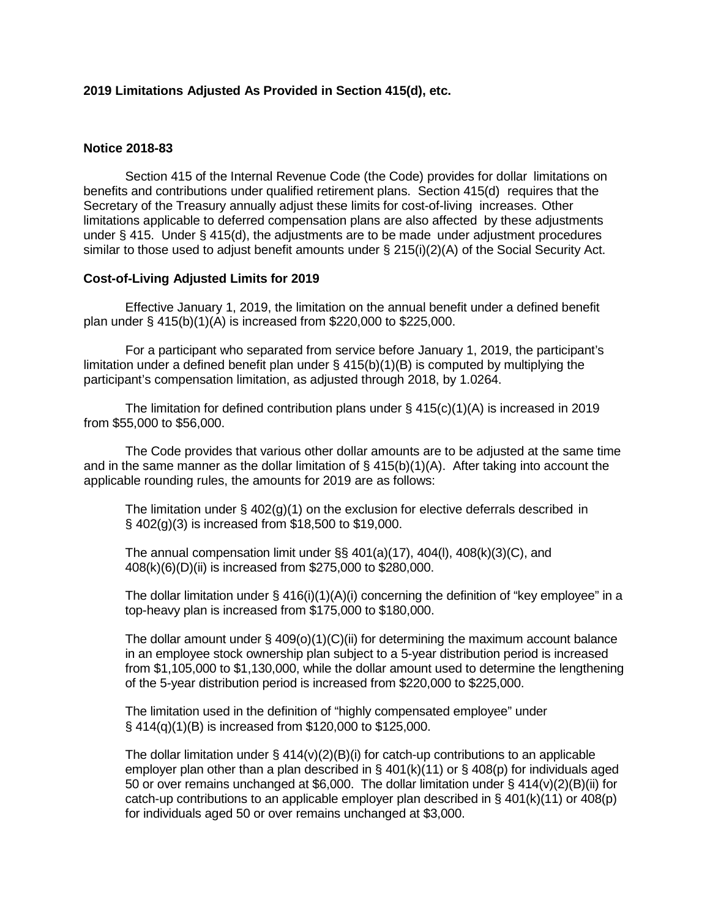## **2019 Limitations Adjusted As Provided in Section 415(d), etc.**

## **Notice 2018-83**

Section 415 of the Internal Revenue Code (the Code) provides for dollar limitations on benefits and contributions under qualified retirement plans. Section 415(d) requires that the Secretary of the Treasury annually adjust these limits for cost-of-living increases. Other limitations applicable to deferred compensation plans are also affected by these adjustments under § 415. Under § 415(d), the adjustments are to be made under adjustment procedures similar to those used to adjust benefit amounts under § 215(i)(2)(A) of the Social Security Act.

## **Cost-of-Living Adjusted Limits for 2019**

Effective January 1, 2019, the limitation on the annual benefit under a defined benefit plan under § 415(b)(1)(A) is increased from \$220,000 to \$225,000.

For a participant who separated from service before January 1, 2019, the participant's limitation under a defined benefit plan under  $\S$  415(b)(1)(B) is computed by multiplying the participant's compensation limitation, as adjusted through 2018, by 1.0264.

The limitation for defined contribution plans under  $\S 415(c)(1)(A)$  is increased in 2019 from \$55,000 to \$56,000.

The Code provides that various other dollar amounts are to be adjusted at the same time and in the same manner as the dollar limitation of  $\S$  415(b)(1)(A). After taking into account the applicable rounding rules, the amounts for 2019 are as follows:

The limitation under  $\S$  402(g)(1) on the exclusion for elective deferrals described in § 402(g)(3) is increased from \$18,500 to \$19,000.

The annual compensation limit under  $\S$ § 401(a)(17), 404(l), 408(k)(3)(C), and 408(k)(6)(D)(ii) is increased from \$275,000 to \$280,000.

The dollar limitation under § 416(i)(1)(A)(i) concerning the definition of "key employee" in a top-heavy plan is increased from \$175,000 to \$180,000.

The dollar amount under  $\S$  409(o)(1)(C)(ii) for determining the maximum account balance in an employee stock ownership plan subject to a 5-year distribution period is increased from \$1,105,000 to \$1,130,000, while the dollar amount used to determine the lengthening of the 5-year distribution period is increased from \$220,000 to \$225,000.

The limitation used in the definition of "highly compensated employee" under § 414(q)(1)(B) is increased from \$120,000 to \$125,000.

The dollar limitation under  $\S 414(v)(2)(B)(i)$  for catch-up contributions to an applicable employer plan other than a plan described in § 401(k)(11) or § 408(p) for individuals aged 50 or over remains unchanged at \$6,000. The dollar limitation under § 414(v)(2)(B)(ii) for catch-up contributions to an applicable employer plan described in § 401(k)(11) or 408(p) for individuals aged 50 or over remains unchanged at \$3,000.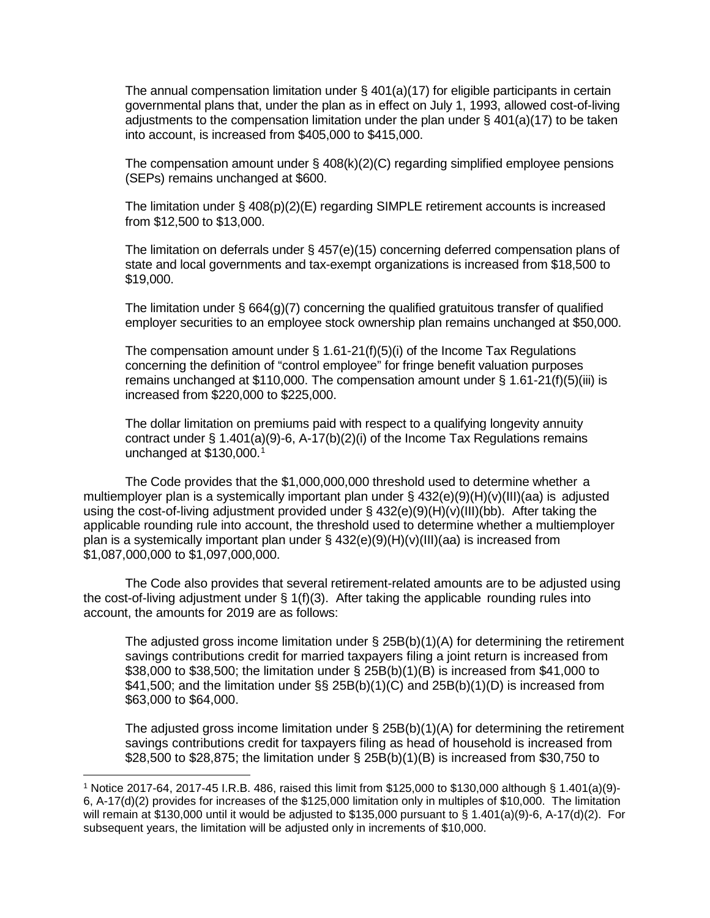The annual compensation limitation under  $\S$  401(a)(17) for eligible participants in certain governmental plans that, under the plan as in effect on July 1, 1993, allowed cost-of-living adjustments to the compensation limitation under the plan under  $\S$  401(a)(17) to be taken into account, is increased from \$405,000 to \$415,000.

The compensation amount under § 408(k)(2)(C) regarding simplified employee pensions (SEPs) remains unchanged at \$600.

The limitation under  $\S$  408(p)(2)(E) regarding SIMPLE retirement accounts is increased from \$12,500 to \$13,000.

The limitation on deferrals under § 457(e)(15) concerning deferred compensation plans of state and local governments and tax-exempt organizations is increased from \$18,500 to \$19,000.

The limitation under  $\S 664(q)$  (7) concerning the qualified gratuitous transfer of qualified employer securities to an employee stock ownership plan remains unchanged at \$50,000.

The compensation amount under  $\S$  1.61-21(f)(5)(i) of the Income Tax Regulations concerning the definition of "control employee" for fringe benefit valuation purposes remains unchanged at \$110,000. The compensation amount under § 1.61-21(f)(5)(iii) is increased from \$220,000 to \$225,000.

The dollar limitation on premiums paid with respect to a qualifying longevity annuity contract under § 1.401(a)(9)-6, A-17(b)(2)(i) of the Income Tax Regulations remains unchanged at \$130,000. [1](#page-1-0)

The Code provides that the \$1,000,000,000 threshold used to determine whether a multiemployer plan is a systemically important plan under § 432(e)(9)(H)(v)(III)(aa) is adjusted using the cost-of-living adjustment provided under § 432(e)(9)(H)(v)(III)(bb). After taking the applicable rounding rule into account, the threshold used to determine whether a multiemployer plan is a systemically important plan under  $\S$  432(e)(9)(H)(v)(III)(aa) is increased from \$1,087,000,000 to \$1,097,000,000.

The Code also provides that several retirement-related amounts are to be adjusted using the cost-of-living adjustment under  $\S 1(f)(3)$ . After taking the applicable rounding rules into account, the amounts for 2019 are as follows:

The adjusted gross income limitation under  $\S$  25B(b)(1)(A) for determining the retirement savings contributions credit for married taxpayers filing a joint return is increased from \$38,000 to \$38,500; the limitation under § 25B(b)(1)(B) is increased from \$41,000 to \$41,500; and the limitation under §§ 25B(b)(1)(C) and 25B(b)(1)(D) is increased from \$63,000 to \$64,000.

The adjusted gross income limitation under  $\S$  25B(b)(1)(A) for determining the retirement savings contributions credit for taxpayers filing as head of household is increased from \$28,500 to \$28,875; the limitation under § 25B(b)(1)(B) is increased from \$30,750 to

 $\overline{\phantom{a}}$ 

<span id="page-1-0"></span><sup>1</sup> Notice 2017-64, 2017-45 I.R.B. 486, raised this limit from \$125,000 to \$130,000 although § 1.401(a)(9)- 6, A-17(d)(2) provides for increases of the \$125,000 limitation only in multiples of \$10,000. The limitation will remain at \$130,000 until it would be adjusted to \$135,000 pursuant to § 1.401(a)(9)-6, A-17(d)(2). For subsequent years, the limitation will be adjusted only in increments of \$10,000.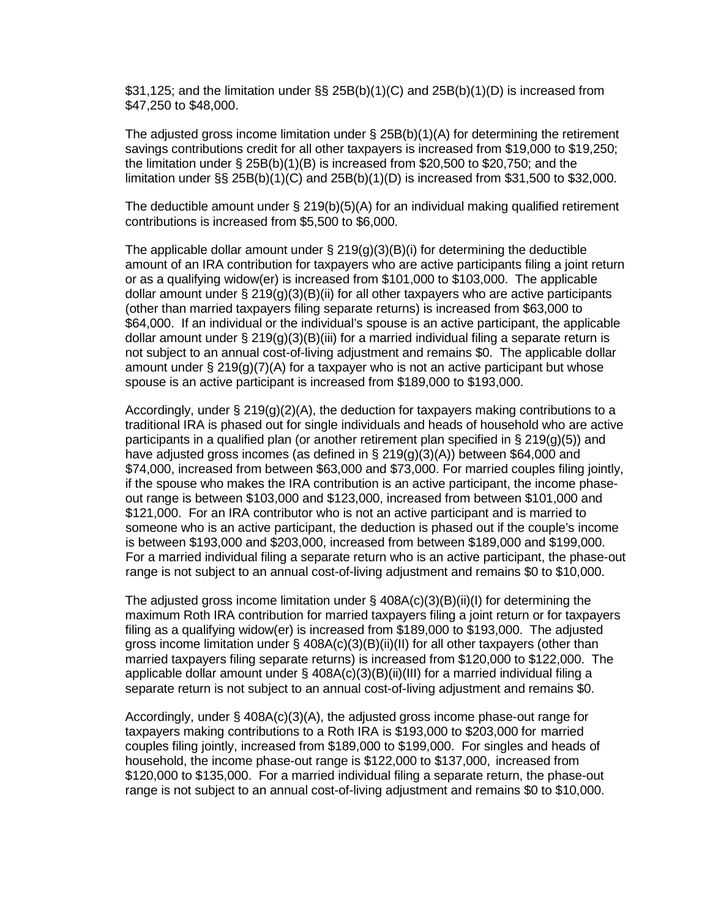\$31,125; and the limitation under §§ 25B(b)(1)(C) and 25B(b)(1)(D) is increased from \$47,250 to \$48,000.

The adjusted gross income limitation under  $\S$  25B(b)(1)(A) for determining the retirement savings contributions credit for all other taxpayers is increased from \$19,000 to \$19,250; the limitation under § 25B(b)(1)(B) is increased from \$20,500 to \$20,750; and the limitation under  $\S$ § 25B(b)(1)(C) and 25B(b)(1)(D) is increased from \$31,500 to \$32,000.

The deductible amount under  $\S$  219(b)(5)(A) for an individual making qualified retirement contributions is increased from \$5,500 to \$6,000.

The applicable dollar amount under  $\S 219(g)(3)(B)(i)$  for determining the deductible amount of an IRA contribution for taxpayers who are active participants filing a joint return or as a qualifying widow(er) is increased from \$101,000 to \$103,000. The applicable dollar amount under  $\S$  219(g)(3)(B)(ii) for all other taxpayers who are active participants (other than married taxpayers filing separate returns) is increased from \$63,000 to \$64,000. If an individual or the individual's spouse is an active participant, the applicable dollar amount under § 219(g)(3)(B)(iii) for a married individual filing a separate return is not subject to an annual cost-of-living adjustment and remains \$0. The applicable dollar amount under  $\S 219(g)(7)(A)$  for a taxpayer who is not an active participant but whose spouse is an active participant is increased from \$189,000 to \$193,000.

Accordingly, under  $\S 219(g)(2)(A)$ , the deduction for taxpayers making contributions to a traditional IRA is phased out for single individuals and heads of household who are active participants in a qualified plan (or another retirement plan specified in § 219(g)(5)) and have adjusted gross incomes (as defined in § 219(g)(3)(A)) between \$64,000 and \$74,000, increased from between \$63,000 and \$73,000. For married couples filing jointly, if the spouse who makes the IRA contribution is an active participant, the income phaseout range is between \$103,000 and \$123,000, increased from between \$101,000 and \$121,000. For an IRA contributor who is not an active participant and is married to someone who is an active participant, the deduction is phased out if the couple's income is between \$193,000 and \$203,000, increased from between \$189,000 and \$199,000. For a married individual filing a separate return who is an active participant, the phase-out range is not subject to an annual cost-of-living adjustment and remains \$0 to \$10,000.

The adjusted gross income limitation under  $\S$  408A(c)(3)(B)(ii)(I) for determining the maximum Roth IRA contribution for married taxpayers filing a joint return or for taxpayers filing as a qualifying widow(er) is increased from \$189,000 to \$193,000. The adjusted gross income limitation under § 408A(c)(3)(B)(ii)(II) for all other taxpayers (other than married taxpayers filing separate returns) is increased from \$120,000 to \$122,000. The applicable dollar amount under  $\S$  408A(c)(3)(B)(ii)(III) for a married individual filing a separate return is not subject to an annual cost-of-living adjustment and remains \$0.

Accordingly, under § 408A(c)(3)(A), the adjusted gross income phase-out range for taxpayers making contributions to a Roth IRA is \$193,000 to \$203,000 for married couples filing jointly, increased from \$189,000 to \$199,000. For singles and heads of household, the income phase-out range is \$122,000 to \$137,000, increased from \$120,000 to \$135,000. For a married individual filing a separate return, the phase-out range is not subject to an annual cost-of-living adjustment and remains \$0 to \$10,000.